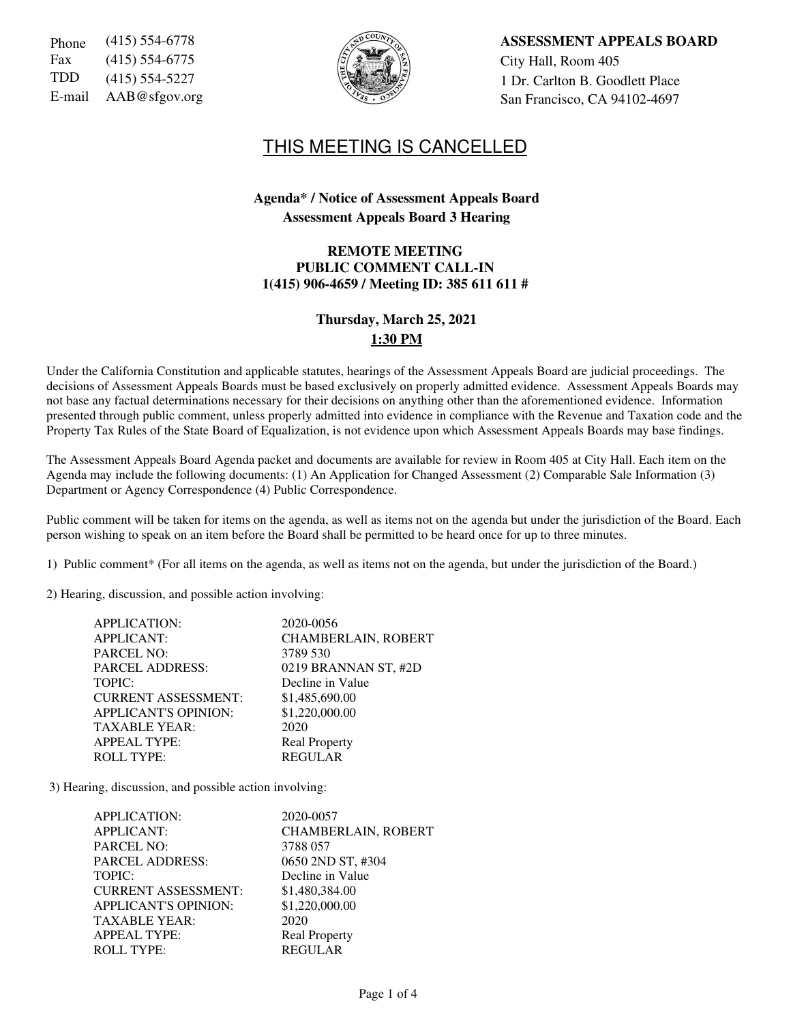| Phone  | $(415) 554-6778$   |
|--------|--------------------|
| Fax    | $(415)$ 554-6775   |
| TDD    | $(415) 554 - 5227$ |
| E-mail | AAB@sfgov.org      |



Phone (415) 554-6778 **ASSESSMENT APPEALS BOARD** City Hall, Room 405 1 Dr. Carlton B. Goodlett Place San Francisco, CA 94102-4697

# THIS MEETING IS CANCELLED

## **Agenda\* / Notice of Assessment Appeals Board Assessment Appeals Board 3 Hearing**

#### **REMOTE MEETING PUBLIC COMMENT CALL-IN 1(415) 906-4659 / Meeting ID: 385 611 611 #**

# **Thursday, March 25, 2021 1:30 PM**

Under the California Constitution and applicable statutes, hearings of the Assessment Appeals Board are judicial proceedings. The decisions of Assessment Appeals Boards must be based exclusively on properly admitted evidence. Assessment Appeals Boards may not base any factual determinations necessary for their decisions on anything other than the aforementioned evidence. Information presented through public comment, unless properly admitted into evidence in compliance with the Revenue and Taxation code and the Property Tax Rules of the State Board of Equalization, is not evidence upon which Assessment Appeals Boards may base findings.

The Assessment Appeals Board Agenda packet and documents are available for review in Room 405 at City Hall. Each item on the Agenda may include the following documents: (1) An Application for Changed Assessment (2) Comparable Sale Information (3) Department or Agency Correspondence (4) Public Correspondence.

Public comment will be taken for items on the agenda, as well as items not on the agenda but under the jurisdiction of the Board. Each person wishing to speak on an item before the Board shall be permitted to be heard once for up to three minutes.

1) Public comment\* (For all items on the agenda, as well as items not on the agenda, but under the jurisdiction of the Board.)

2) Hearing, discussion, and possible action involving:

| <b>APPLICATION:</b>         | 2020-0056                  |
|-----------------------------|----------------------------|
| <b>APPLICANT:</b>           | <b>CHAMBERLAIN, ROBERT</b> |
| <b>PARCEL NO:</b>           | 3789 530                   |
| <b>PARCEL ADDRESS:</b>      | 0219 BRANNAN ST, #2D       |
| TOPIC:                      | Decline in Value           |
| <b>CURRENT ASSESSMENT:</b>  | \$1,485,690.00             |
| <b>APPLICANT'S OPINION:</b> | \$1,220,000.00             |
| <b>TAXABLE YEAR:</b>        | 2020                       |
| <b>APPEAL TYPE:</b>         | <b>Real Property</b>       |
| <b>ROLL TYPE:</b>           | <b>REGULAR</b>             |
|                             |                            |

3) Hearing, discussion, and possible action involving:

| APPLICATION:<br><b>APPLICANT:</b><br><b>PARCEL NO:</b> | 2020-0057<br><b>CHAMBERLAIN, ROBERT</b><br>3788 057 |
|--------------------------------------------------------|-----------------------------------------------------|
| <b>PARCEL ADDRESS:</b>                                 | 0650 2ND ST, #304                                   |
| TOPIC:                                                 | Decline in Value                                    |
| <b>CURRENT ASSESSMENT:</b>                             | \$1,480,384.00                                      |
| <b>APPLICANT'S OPINION:</b>                            | \$1,220,000.00                                      |
| <b>TAXABLE YEAR:</b>                                   | 2020                                                |
| <b>APPEAL TYPE:</b>                                    | <b>Real Property</b>                                |
| <b>ROLL TYPE:</b>                                      | <b>REGULAR</b>                                      |
|                                                        |                                                     |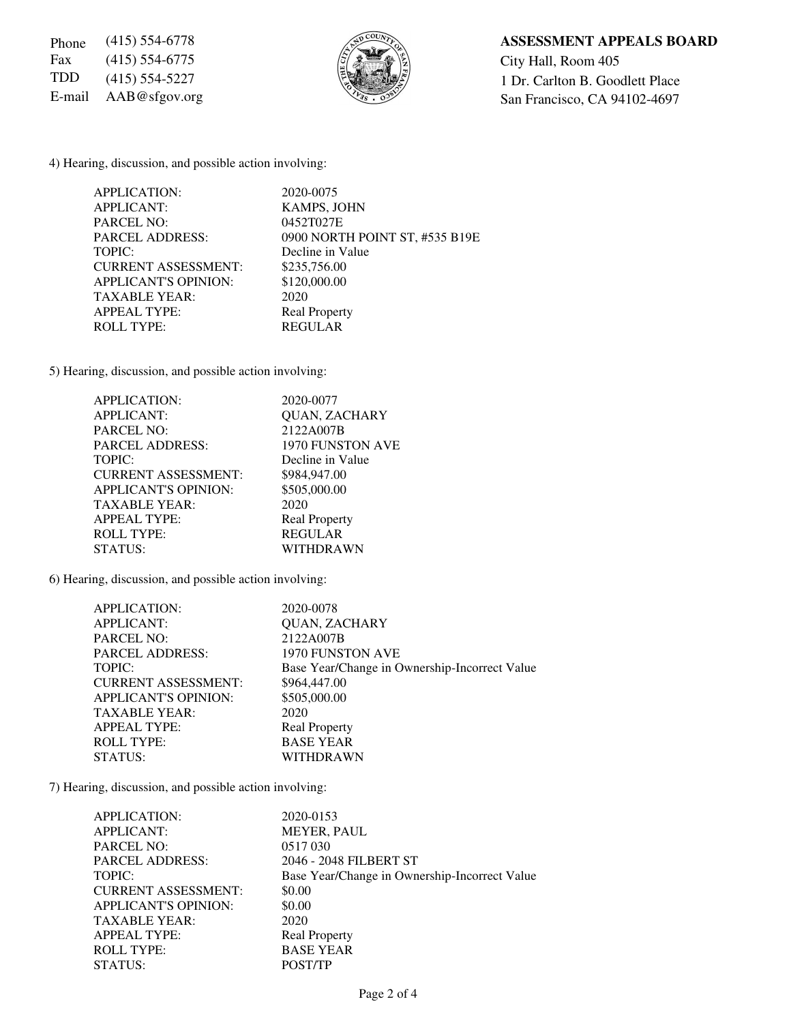Fax (415) 554-6775  $\left|\frac{5}{6}\right|$   $\left|\frac{3}{6}\right|$   $\left|\frac{3}{2}\right|$  City Hall, Room 405



### Phone (415) 554-6778 **ASSESSMENT APPEALS BOARD**

TDD (415) 554-5227  $\begin{matrix} \begin{matrix} 2 \\ 3 \end{matrix} & \begin{matrix} 3 \\ 2 \end{matrix} & \begin{matrix} 4 \\ 5 \end{matrix} & \begin{matrix} 54.5227 \\ 84.53 \end{matrix} & \begin{matrix} 1 \end{matrix} & \begin{matrix} 2 \end{matrix} & \begin{matrix} 1 \end{matrix} & \begin{matrix} 1 \end{matrix} & \begin{matrix} 1 \end{matrix} & \begin{matrix} 1 \end{matrix} & \begin{matrix} 1 \end{matrix} & \begin{matrix} 1 \end{matrix} & \begin{matrix} 1 \end{matrix} & \begin{matrix}$ E-mail AAB@sfgov.org San Francisco, CA 94102-4697

4) Hearing, discussion, and possible action involving:

| <b>APPLICATION:</b>         | 2020-0075                      |
|-----------------------------|--------------------------------|
| <b>APPLICANT:</b>           | <b>KAMPS, JOHN</b>             |
| <b>PARCEL NO:</b>           | 0452T027E                      |
| <b>PARCEL ADDRESS:</b>      | 0900 NORTH POINT ST, #535 B19E |
| TOPIC:                      | Decline in Value               |
| <b>CURRENT ASSESSMENT:</b>  | \$235,756.00                   |
| <b>APPLICANT'S OPINION:</b> | \$120,000.00                   |
| <b>TAXABLE YEAR:</b>        | 2020                           |
| <b>APPEAL TYPE:</b>         | <b>Real Property</b>           |
| <b>ROLL TYPE:</b>           | <b>REGULAR</b>                 |

5) Hearing, discussion, and possible action involving:

| APPLICATION:                | 2020-0077            |
|-----------------------------|----------------------|
| <b>APPLICANT:</b>           | <b>QUAN, ZACHARY</b> |
| <b>PARCEL NO:</b>           | 2122A007B            |
| <b>PARCEL ADDRESS:</b>      | 1970 FUNSTON AVE     |
| TOPIC:                      | Decline in Value     |
| <b>CURRENT ASSESSMENT:</b>  | \$984,947.00         |
| <b>APPLICANT'S OPINION:</b> | \$505,000.00         |
| <b>TAXABLE YEAR:</b>        | 2020                 |
| <b>APPEAL TYPE:</b>         | <b>Real Property</b> |
| <b>ROLL TYPE:</b>           | <b>REGULAR</b>       |
| STATUS:                     | WITHDRAWN            |

6) Hearing, discussion, and possible action involving:

| <b>APPLICATION:</b>         | 2020-0078                                     |
|-----------------------------|-----------------------------------------------|
| <b>APPLICANT:</b>           | <b>QUAN, ZACHARY</b>                          |
| <b>PARCEL NO:</b>           | 2122A007B                                     |
| <b>PARCEL ADDRESS:</b>      | <b>1970 FUNSTON AVE</b>                       |
| TOPIC:                      | Base Year/Change in Ownership-Incorrect Value |
| <b>CURRENT ASSESSMENT:</b>  | \$964,447.00                                  |
| <b>APPLICANT'S OPINION:</b> | \$505,000.00                                  |
| <b>TAXABLE YEAR:</b>        | 2020                                          |
| <b>APPEAL TYPE:</b>         | <b>Real Property</b>                          |
| <b>ROLL TYPE:</b>           | <b>BASE YEAR</b>                              |
| STATUS:                     | WITHDRAWN                                     |
|                             |                                               |

7) Hearing, discussion, and possible action involving:

| APPLICATION:                | 2020-0153                                     |
|-----------------------------|-----------------------------------------------|
| <b>APPLICANT:</b>           | <b>MEYER, PAUL</b>                            |
| <b>PARCEL NO:</b>           | 0517030                                       |
| <b>PARCEL ADDRESS:</b>      | 2046 - 2048 FILBERT ST                        |
| TOPIC:                      | Base Year/Change in Ownership-Incorrect Value |
| <b>CURRENT ASSESSMENT:</b>  | \$0.00                                        |
| <b>APPLICANT'S OPINION:</b> | \$0.00                                        |
| <b>TAXABLE YEAR:</b>        | 2020                                          |
| <b>APPEAL TYPE:</b>         | <b>Real Property</b>                          |
| <b>ROLL TYPE:</b>           | <b>BASE YEAR</b>                              |
| STATUS:                     | POST/TP                                       |
|                             |                                               |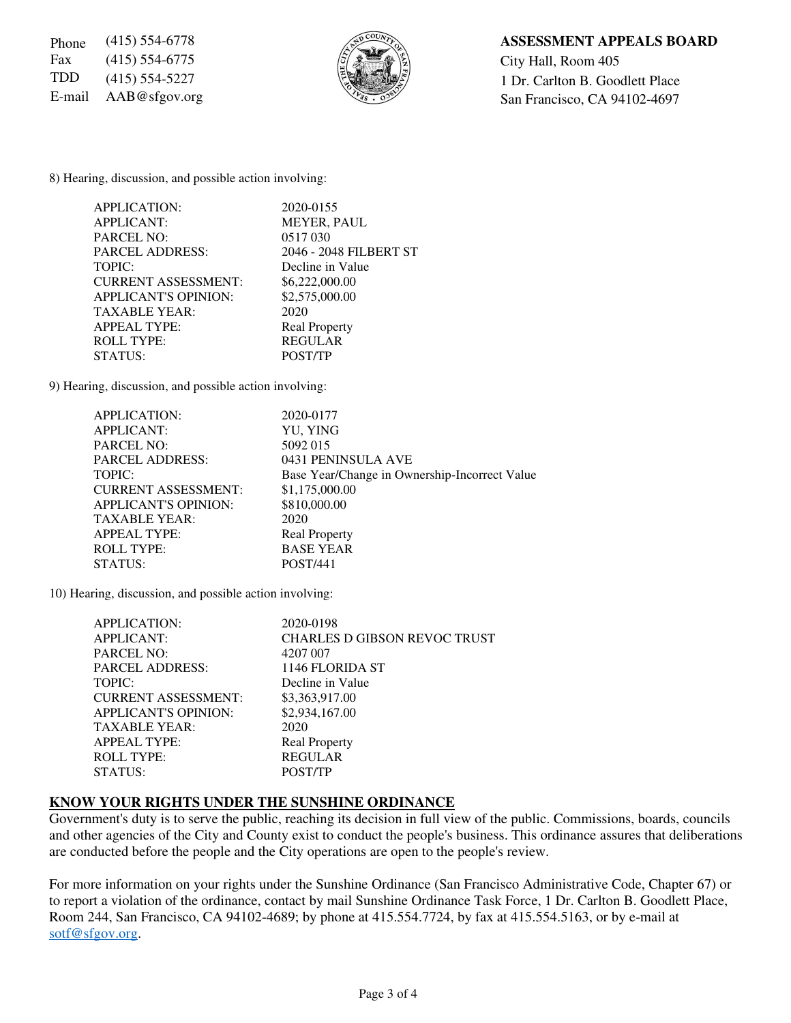Fax (415) 554-6775  $\left|\frac{5}{6}\right|$   $\left|\frac{1}{2}\right|$  City Hall, Room 405



## Phone (415) 554-6778 **ASSESSMENT APPEALS BOARD**

TDD  $(415)$  554-5227  $\left\{\begin{matrix} 1 \\ 2 \end{matrix}\right\}$  1 Dr. Carlton B. Goodlett Place E-mail  $AAB@sfgov.org$  San Francisco, CA 94102-4697

8) Hearing, discussion, and possible action involving:

| 2020-0155              |
|------------------------|
| <b>MEYER, PAUL</b>     |
| 0517030                |
| 2046 - 2048 FILBERT ST |
| Decline in Value       |
| \$6,222,000.00         |
| \$2,575,000.00         |
| 2020                   |
| <b>Real Property</b>   |
| <b>REGULAR</b>         |
| POST/TP                |
|                        |

9) Hearing, discussion, and possible action involving:

| APPLICATION:                | 2020-0177                                     |
|-----------------------------|-----------------------------------------------|
| <b>APPLICANT:</b>           | YU, YING                                      |
| <b>PARCEL NO:</b>           | 5092 015                                      |
| <b>PARCEL ADDRESS:</b>      | 0431 PENINSULA AVE                            |
| TOPIC:                      | Base Year/Change in Ownership-Incorrect Value |
| <b>CURRENT ASSESSMENT:</b>  | \$1,175,000.00                                |
| <b>APPLICANT'S OPINION:</b> | \$810,000.00                                  |
| <b>TAXABLE YEAR:</b>        | 2020                                          |
| <b>APPEAL TYPE:</b>         | <b>Real Property</b>                          |
| <b>ROLL TYPE:</b>           | <b>BASE YEAR</b>                              |
| STATUS:                     | <b>POST/441</b>                               |
|                             |                                               |

10) Hearing, discussion, and possible action involving:

| <b>APPLICATION:</b>         | 2020-0198                           |
|-----------------------------|-------------------------------------|
| <b>APPLICANT:</b>           | <b>CHARLES D GIBSON REVOC TRUST</b> |
| PARCEL NO:                  | 4207 007                            |
| <b>PARCEL ADDRESS:</b>      | 1146 FLORIDA ST                     |
| TOPIC:                      | Decline in Value                    |
| <b>CURRENT ASSESSMENT:</b>  | \$3,363,917.00                      |
| <b>APPLICANT'S OPINION:</b> | \$2,934,167.00                      |
| <b>TAXABLE YEAR:</b>        | 2020                                |
| <b>APPEAL TYPE:</b>         | <b>Real Property</b>                |
| <b>ROLL TYPE:</b>           | <b>REGULAR</b>                      |
| STATUS:                     | <b>POST/TP</b>                      |

#### **KNOW YOUR RIGHTS UNDER THE SUNSHINE ORDINANCE**

Government's duty is to serve the public, reaching its decision in full view of the public. Commissions, boards, councils and other agencies of the City and County exist to conduct the people's business. This ordinance assures that deliberations are conducted before the people and the City operations are open to the people's review.

For more information on your rights under the Sunshine Ordinance (San Francisco Administrative Code, Chapter 67) or to report a violation of the ordinance, contact by mail Sunshine Ordinance Task Force, 1 Dr. Carlton B. Goodlett Place, Room 244, San Francisco, CA 94102-4689; by phone at 415.554.7724, by fax at 415.554.5163, or by e-mail at sotf@sfgov.org.